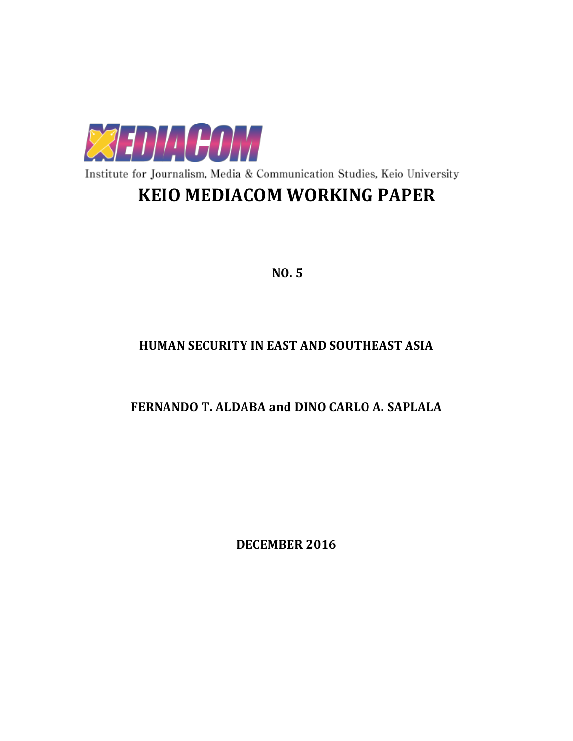

Institute for Journalism, Media & Communication Studies, Keio University

# **KEIO MEDIACOM WORKING PAPER**

**NO. 5**

# **HUMAN SECURITY IN EAST AND SOUTHEAST ASIA**

# **FERNANDO T. ALDABA and DINO CARLO A. SAPLALA**

**DECEMBER 2016**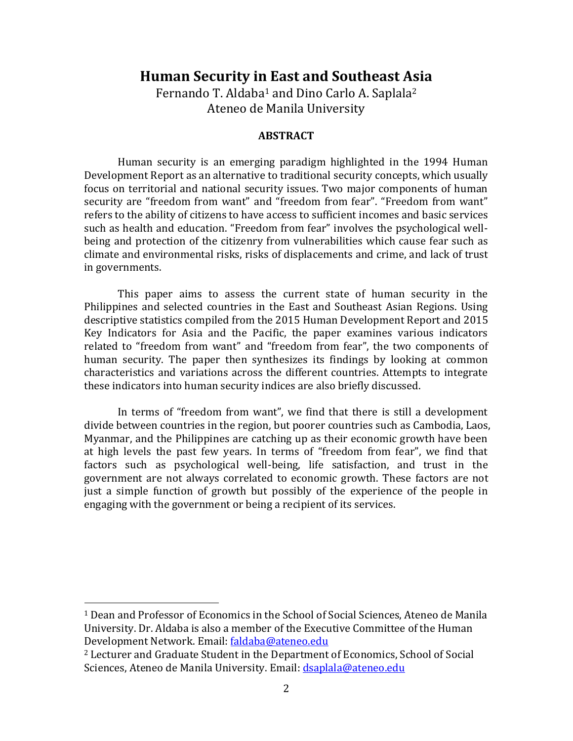# **Human Security in East and Southeast Asia**

Fernando T. Aldaba<sup>1</sup> and Dino Carlo A. Saplala<sup>2</sup> Ateneo de Manila University

### **ABSTRACT**

Human security is an emerging paradigm highlighted in the 1994 Human Development Report as an alternative to traditional security concepts, which usually focus on territorial and national security issues. Two major components of human security are "freedom from want" and "freedom from fear". "Freedom from want" refers to the ability of citizens to have access to sufficient incomes and basic services such as health and education. "Freedom from fear" involves the psychological wellbeing and protection of the citizenry from vulnerabilities which cause fear such as climate and environmental risks, risks of displacements and crime, and lack of trust in governments.

This paper aims to assess the current state of human security in the Philippines and selected countries in the East and Southeast Asian Regions. Using descriptive statistics compiled from the 2015 Human Development Report and 2015 Key Indicators for Asia and the Pacific, the paper examines various indicators related to "freedom from want" and "freedom from fear", the two components of human security. The paper then synthesizes its findings by looking at common characteristics and variations across the different countries. Attempts to integrate these indicators into human security indices are also briefly discussed.

In terms of "freedom from want", we find that there is still a development divide between countries in the region, but poorer countries such as Cambodia, Laos, Myanmar, and the Philippines are catching up as their economic growth have been at high levels the past few years. In terms of "freedom from fear", we find that factors such as psychological well-being, life satisfaction, and trust in the government are not always correlated to economic growth. These factors are not just a simple function of growth but possibly of the experience of the people in engaging with the government or being a recipient of its services.

l

<sup>1</sup> Dean and Professor of Economics in the School of Social Sciences, Ateneo de Manila University. Dr. Aldaba is also a member of the Executive Committee of the Human Development Network. Email: [faldaba@ateneo.edu](mailto:faldaba@ateneo.edu)

<sup>2</sup> Lecturer and Graduate Student in the Department of Economics, School of Social Sciences, Ateneo de Manila University. Email[: dsaplala@ateneo.edu](mailto:dsaplala@ateneo.edu)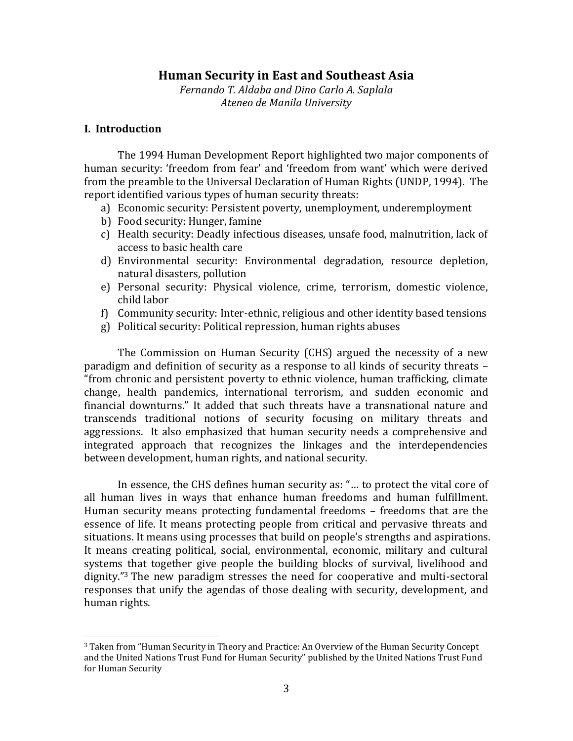# **Human Security in East and Southeast Asia**

*Fernando T. Aldaba and Dino Carlo A. Saplala Ateneo de Manila University*

## **I. Introduction**

 $\overline{a}$ 

The 1994 Human Development Report highlighted two major components of human security: 'freedom from fear' and 'freedom from want' which were derived from the preamble to the Universal Declaration of Human Rights (UNDP, 1994). The report identified various types of human security threats:

- a) Economic security: Persistent poverty, unemployment, underemployment
- b) Food security: Hunger, famine
- c) Health security: Deadly infectious diseases, unsafe food, malnutrition, lack of access to basic health care
- d) Environmental security: Environmental degradation, resource depletion, natural disasters, pollution
- e) Personal security: Physical violence, crime, terrorism, domestic violence, child labor
- f) Community security: Inter-ethnic, religious and other identity based tensions
- g) Political security: Political repression, human rights abuses

The Commission on Human Security (CHS) argued the necessity of a new paradigm and definition of security as a response to all kinds of security threats – "from chronic and persistent poverty to ethnic violence, human trafficking, climate change, health pandemics, international terrorism, and sudden economic and financial downturns." It added that such threats have a transnational nature and transcends traditional notions of security focusing on military threats and aggressions. It also emphasized that human security needs a comprehensive and integrated approach that recognizes the linkages and the interdependencies between development, human rights, and national security.

In essence, the CHS defines human security as: "… to protect the vital core of all human lives in ways that enhance human freedoms and human fulfillment. Human security means protecting fundamental freedoms – freedoms that are the essence of life. It means protecting people from critical and pervasive threats and situations. It means using processes that build on people's strengths and aspirations. It means creating political, social, environmental, economic, military and cultural systems that together give people the building blocks of survival, livelihood and dignity."<sup>3</sup> The new paradigm stresses the need for cooperative and multi-sectoral responses that unify the agendas of those dealing with security, development, and human rights.

<sup>3</sup> Taken from "Human Security in Theory and Practice: An Overview of the Human Security Concept and the United Nations Trust Fund for Human Security" published by the United Nations Trust Fund for Human Security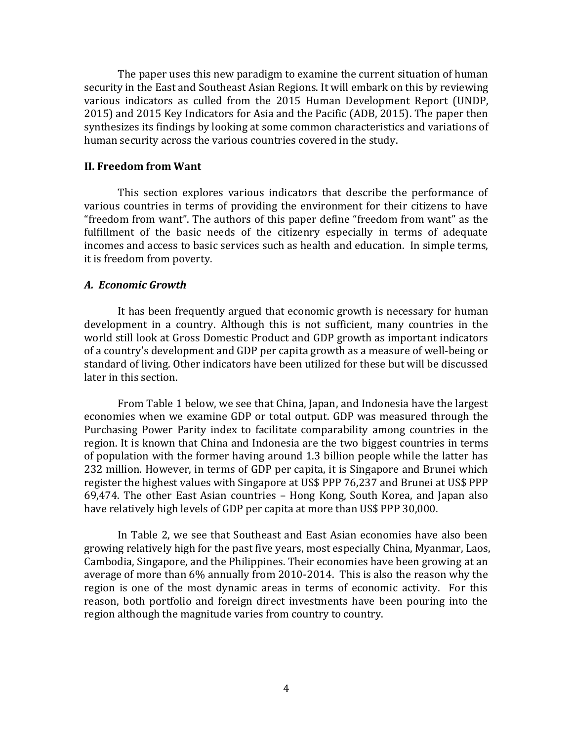The paper uses this new paradigm to examine the current situation of human security in the East and Southeast Asian Regions. It will embark on this by reviewing various indicators as culled from the 2015 Human Development Report (UNDP, 2015) and 2015 Key Indicators for Asia and the Pacific (ADB, 2015). The paper then synthesizes its findings by looking at some common characteristics and variations of human security across the various countries covered in the study.

#### **II. Freedom from Want**

This section explores various indicators that describe the performance of various countries in terms of providing the environment for their citizens to have "freedom from want". The authors of this paper define "freedom from want" as the fulfillment of the basic needs of the citizenry especially in terms of adequate incomes and access to basic services such as health and education. In simple terms, it is freedom from poverty.

#### *A. Economic Growth*

It has been frequently argued that economic growth is necessary for human development in a country. Although this is not sufficient, many countries in the world still look at Gross Domestic Product and GDP growth as important indicators of a country's development and GDP per capita growth as a measure of well-being or standard of living. Other indicators have been utilized for these but will be discussed later in this section.

From Table 1 below, we see that China, Japan, and Indonesia have the largest economies when we examine GDP or total output. GDP was measured through the Purchasing Power Parity index to facilitate comparability among countries in the region. It is known that China and Indonesia are the two biggest countries in terms of population with the former having around 1.3 billion people while the latter has 232 million. However, in terms of GDP per capita, it is Singapore and Brunei which register the highest values with Singapore at US\$ PPP 76,237 and Brunei at US\$ PPP 69,474. The other East Asian countries – Hong Kong, South Korea, and Japan also have relatively high levels of GDP per capita at more than US\$ PPP 30,000.

In Table 2, we see that Southeast and East Asian economies have also been growing relatively high for the past five years, most especially China, Myanmar, Laos, Cambodia, Singapore, and the Philippines. Their economies have been growing at an average of more than 6% annually from 2010-2014. This is also the reason why the region is one of the most dynamic areas in terms of economic activity. For this reason, both portfolio and foreign direct investments have been pouring into the region although the magnitude varies from country to country.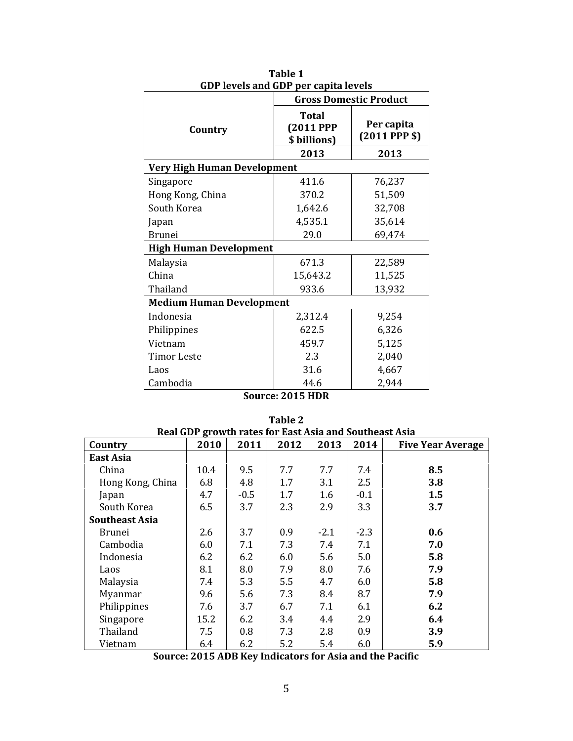| GDP levels and GDP per capita levels |                                                  |                               |  |  |  |  |
|--------------------------------------|--------------------------------------------------|-------------------------------|--|--|--|--|
|                                      | <b>Gross Domestic Product</b>                    |                               |  |  |  |  |
| Country                              | <b>Total</b><br><b>(2011 PPP</b><br>\$ billions) | Per capita<br>$(2011$ PPP \$) |  |  |  |  |
|                                      | 2013                                             | 2013                          |  |  |  |  |
| <b>Very High Human Development</b>   |                                                  |                               |  |  |  |  |
| Singapore                            | 411.6                                            | 76,237                        |  |  |  |  |
| Hong Kong, China                     | 370.2                                            | 51,509                        |  |  |  |  |
| South Korea                          | 1,642.6                                          | 32,708                        |  |  |  |  |
| Japan                                | 4,535.1                                          | 35,614                        |  |  |  |  |
| <b>Brunei</b>                        | 29.0                                             | 69,474                        |  |  |  |  |
| <b>High Human Development</b>        |                                                  |                               |  |  |  |  |
| Malaysia                             | 671.3                                            | 22,589                        |  |  |  |  |
| China                                | 15,643.2                                         | 11,525                        |  |  |  |  |
| Thailand                             | 933.6                                            | 13,932                        |  |  |  |  |
| <b>Medium Human Development</b>      |                                                  |                               |  |  |  |  |
| Indonesia                            | 2,312.4                                          | 9,254                         |  |  |  |  |
| Philippines                          | 622.5                                            | 6,326                         |  |  |  |  |
| Vietnam                              | 459.7                                            | 5,125                         |  |  |  |  |
| Timor Leste                          | 2.3                                              | 2,040                         |  |  |  |  |
| Laos                                 | 31.6                                             | 4,667                         |  |  |  |  |
| Cambodia                             | 44.6                                             | 2,944                         |  |  |  |  |

**Table 1 GDP levels and GDP per capita levels**

| Real GDP growth rates for East Asia and Southeast Asia |      |        |      |        |        |                          |
|--------------------------------------------------------|------|--------|------|--------|--------|--------------------------|
| Country                                                | 2010 | 2011   | 2012 | 2013   | 2014   | <b>Five Year Average</b> |
| <b>East Asia</b>                                       |      |        |      |        |        |                          |
| China                                                  | 10.4 | 9.5    | 7.7  | 7.7    | 7.4    | 8.5                      |
| Hong Kong, China                                       | 6.8  | 4.8    | 1.7  | 3.1    | 2.5    | 3.8                      |
| Japan                                                  | 4.7  | $-0.5$ | 1.7  | 1.6    | $-0.1$ | 1.5                      |
| South Korea                                            | 6.5  | 3.7    | 2.3  | 2.9    | 3.3    | 3.7                      |
| <b>Southeast Asia</b>                                  |      |        |      |        |        |                          |
| Brunei                                                 | 2.6  | 3.7    | 0.9  | $-2.1$ | $-2.3$ | 0.6                      |
| Cambodia                                               | 6.0  | 7.1    | 7.3  | 7.4    | 7.1    | 7.0                      |
| Indonesia                                              | 6.2  | 6.2    | 6.0  | 5.6    | 5.0    | 5.8                      |
| Laos                                                   | 8.1  | 8.0    | 7.9  | 8.0    | 7.6    | 7.9                      |
| Malaysia                                               | 7.4  | 5.3    | 5.5  | 4.7    | 6.0    | 5.8                      |
| Myanmar                                                | 9.6  | 5.6    | 7.3  | 8.4    | 8.7    | 7.9                      |
| Philippines                                            | 7.6  | 3.7    | 6.7  | 7.1    | 6.1    | 6.2                      |
| Singapore                                              | 15.2 | 6.2    | 3.4  | 4.4    | 2.9    | 6.4                      |
| Thailand                                               | 7.5  | 0.8    | 7.3  | 2.8    | 0.9    | 3.9                      |
| Vietnam                                                | 6.4  | 6.2    | 5.2  | 5.4    | 6.0    | 5.9                      |

**Table 2**

**Source: 2015 ADB Key Indicators for Asia and the Pacific**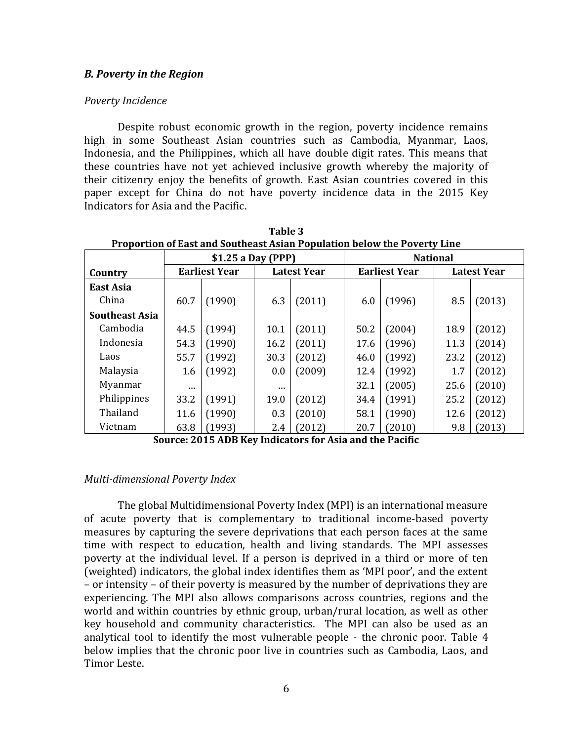#### *B. Poverty in the Region*

#### *Poverty Incidence*

Despite robust economic growth in the region, poverty incidence remains high in some Southeast Asian countries such as Cambodia, Myanmar, Laos, Indonesia, and the Philippines, which all have double digit rates. This means that these countries have not yet achieved inclusive growth whereby the majority of their citizenry enjoy the benefits of growth. East Asian countries covered in this paper except for China do not have poverty incidence data in the 2015 Key Indicators for Asia and the Pacific.

|                       |          | \$1.25 a Day (PPP)   |          |                    |      |                      | <b>National</b> |                    |
|-----------------------|----------|----------------------|----------|--------------------|------|----------------------|-----------------|--------------------|
| Country               |          | <b>Earliest Year</b> |          | <b>Latest Year</b> |      | <b>Earliest Year</b> |                 | <b>Latest Year</b> |
| East Asia             |          |                      |          |                    |      |                      |                 |                    |
| China                 | 60.7     | (1990)               | 6.3      | (2011)             | 6.0  | (1996)               | 8.5             | (2013)             |
| <b>Southeast Asia</b> |          |                      |          |                    |      |                      |                 |                    |
| Cambodia              | 44.5     | (1994)               | 10.1     | (2011)             | 50.2 | (2004)               | 18.9            | (2012)             |
| Indonesia             | 54.3     | (1990)               | 16.2     | (2011)             | 17.6 | (1996)               | 11.3            | (2014)             |
| Laos                  | 55.7     | (1992)               | 30.3     | (2012)             | 46.0 | (1992)               | 23.2            | (2012)             |
| Malaysia              | 1.6      | (1992)               | 0.0      | (2009)             | 12.4 | (1992)               | 1.7             | (2012)             |
| Myanmar               | $\cdots$ |                      | $\cdots$ |                    | 32.1 | (2005)               | 25.6            | (2010)             |
| Philippines           | 33.2     | (1991)               | 19.0     | (2012)             | 34.4 | (1991)               | 25.2            | (2012)             |
| Thailand              | 11.6     | (1990)               | 0.3      | (2010)             | 58.1 | (1990)               | 12.6            | (2012)             |
| Vietnam               | 63.8     | (1993)               | 2.4      | (2012)             | 20.7 | (2010)               | 9.8             | (2013)             |

**Table 3 Proportion of East and Southeast Asian Population below the Poverty Line**

**Source: 2015 ADB Key Indicators for Asia and the Pacific**

### *Multi-dimensional Poverty Index*

The global Multidimensional Poverty Index (MPI) is an international measure of acute poverty that is complementary to traditional income-based poverty measures by capturing the severe deprivations that each person faces at the same time with respect to education, health and living standards. The MPI assesses poverty at the individual level. If a person is deprived in a third or more of ten (weighted) indicators, the global index identifies them as 'MPI poor', and the extent – or intensity – of their poverty is measured by the number of deprivations they are experiencing. The MPI also allows comparisons across countries, regions and the world and within countries by ethnic group, urban/rural location, as well as other key household and community characteristics. The MPI can also be used as an analytical tool to identify the most vulnerable people - the chronic poor. Table 4 below implies that the chronic poor live in countries such as Cambodia, Laos, and Timor Leste.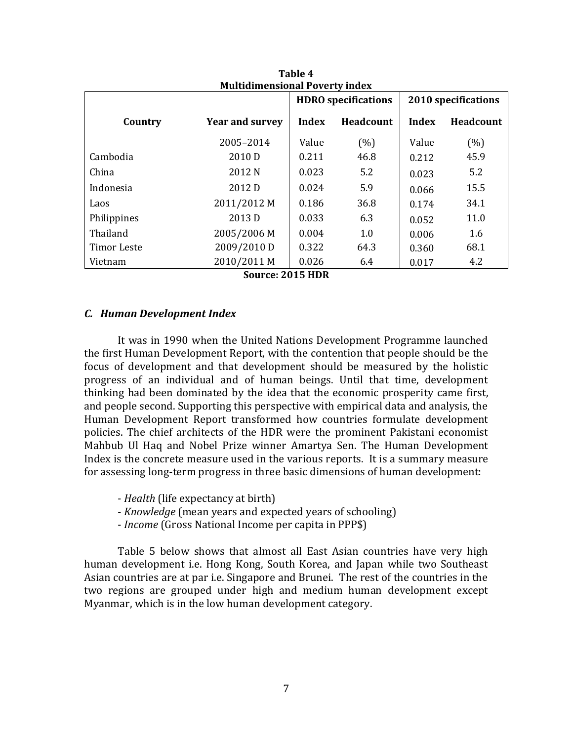| <b>Multidimensional Poverty index</b>             |                        |       |           |       |           |  |  |
|---------------------------------------------------|------------------------|-------|-----------|-------|-----------|--|--|
| <b>HDRO</b> specifications<br>2010 specifications |                        |       |           |       |           |  |  |
| Country                                           | <b>Year and survey</b> | Index | Headcount | Index | Headcount |  |  |
|                                                   | 2005-2014              | Value | (%)       | Value | (%)       |  |  |
| Cambodia                                          | 2010 D                 | 0.211 | 46.8      | 0.212 | 45.9      |  |  |
| China                                             | 2012 N                 | 0.023 | 5.2       | 0.023 | 5.2       |  |  |
| Indonesia                                         | 2012 D                 | 0.024 | 5.9       | 0.066 | 15.5      |  |  |
| Laos                                              | 2011/2012 M            | 0.186 | 36.8      | 0.174 | 34.1      |  |  |
| Philippines                                       | 2013 D                 | 0.033 | 6.3       | 0.052 | 11.0      |  |  |
| Thailand                                          | 2005/2006 M            | 0.004 | 1.0       | 0.006 | 1.6       |  |  |
| Timor Leste                                       | 2009/2010 D            | 0.322 | 64.3      | 0.360 | 68.1      |  |  |
| Vietnam                                           | 2010/2011 M            | 0.026 | 6.4       | 0.017 | 4.2       |  |  |
|                                                   | Source: 2015 HDR       |       |           |       |           |  |  |

**Table 4**

#### *C. Human Development Index*

It was in 1990 when the United Nations Development Programme launched the first Human Development Report, with the contention that people should be the focus of development and that development should be measured by the holistic progress of an individual and of human beings. Until that time, development thinking had been dominated by the idea that the economic prosperity came first, and people second. Supporting this perspective with empirical data and analysis, the Human Development Report transformed how countries formulate development policies. The chief architects of the HDR were the prominent Pakistani economist Mahbub Ul Haq and Nobel Prize winner Amartya Sen. The Human Development Index is the concrete measure used in the various reports. It is a summary measure for assessing long-term progress in three basic dimensions of human development:

- *Health* (life expectancy at birth)
- *Knowledge* (mean years and expected years of schooling)
- *Income* (Gross National Income per capita in PPP\$)

Table 5 below shows that almost all East Asian countries have very high human development i.e. Hong Kong, South Korea, and Japan while two Southeast Asian countries are at par i.e. Singapore and Brunei. The rest of the countries in the two regions are grouped under high and medium human development except Myanmar, which is in the low human development category.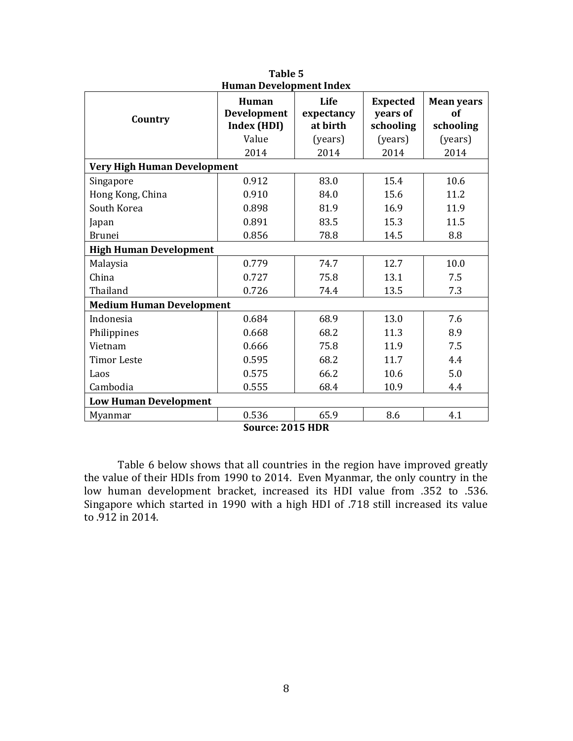| <b>Human Development Index</b>     |                                     |                                |                                          |                                      |  |  |  |
|------------------------------------|-------------------------------------|--------------------------------|------------------------------------------|--------------------------------------|--|--|--|
| Country                            | Human<br>Development<br>Index (HDI) | Life<br>expectancy<br>at birth | <b>Expected</b><br>years of<br>schooling | <b>Mean years</b><br>of<br>schooling |  |  |  |
|                                    | Value                               | (years)                        | (years)                                  | (years)                              |  |  |  |
|                                    | 2014                                | 2014                           | 2014                                     | 2014                                 |  |  |  |
| <b>Very High Human Development</b> |                                     |                                |                                          |                                      |  |  |  |
| Singapore                          | 0.912                               | 83.0                           | 15.4                                     | 10.6                                 |  |  |  |
| Hong Kong, China                   | 0.910                               | 84.0                           | 15.6                                     | 11.2                                 |  |  |  |
| South Korea                        | 0.898                               | 81.9                           | 16.9                                     | 11.9                                 |  |  |  |
| Japan                              | 0.891                               | 83.5                           | 15.3                                     | 11.5                                 |  |  |  |
| <b>Brunei</b>                      | 0.856                               | 78.8                           | 14.5                                     | 8.8                                  |  |  |  |
| <b>High Human Development</b>      |                                     |                                |                                          |                                      |  |  |  |
| Malaysia                           | 0.779                               | 74.7                           | 12.7                                     | 10.0                                 |  |  |  |
| China                              | 0.727                               | 75.8                           | 13.1                                     | 7.5                                  |  |  |  |
| Thailand                           | 0.726                               | 74.4                           | 13.5                                     | 7.3                                  |  |  |  |
| <b>Medium Human Development</b>    |                                     |                                |                                          |                                      |  |  |  |
| Indonesia                          | 0.684                               | 68.9                           | 13.0                                     | 7.6                                  |  |  |  |
| Philippines                        | 0.668                               | 68.2                           | 11.3                                     | 8.9                                  |  |  |  |
| Vietnam                            | 0.666                               | 75.8                           | 11.9                                     | 7.5                                  |  |  |  |
| <b>Timor Leste</b>                 | 0.595                               | 68.2                           | 11.7                                     | 4.4                                  |  |  |  |
| Laos                               | 0.575                               | 66.2                           | 10.6                                     | 5.0                                  |  |  |  |
| Cambodia                           | 0.555                               | 68.4                           | 10.9                                     | 4.4                                  |  |  |  |
| <b>Low Human Development</b>       |                                     |                                |                                          |                                      |  |  |  |
| Myanmar                            | 0.536                               | 65.9                           | 8.6                                      | 4.1                                  |  |  |  |
|                                    | c.<br>.                             | $204$ FIIDD                    |                                          |                                      |  |  |  |

**Table 5**

Table 6 below shows that all countries in the region have improved greatly the value of their HDIs from 1990 to 2014. Even Myanmar, the only country in the low human development bracket, increased its HDI value from .352 to .536. Singapore which started in 1990 with a high HDI of .718 still increased its value to .912 in 2014.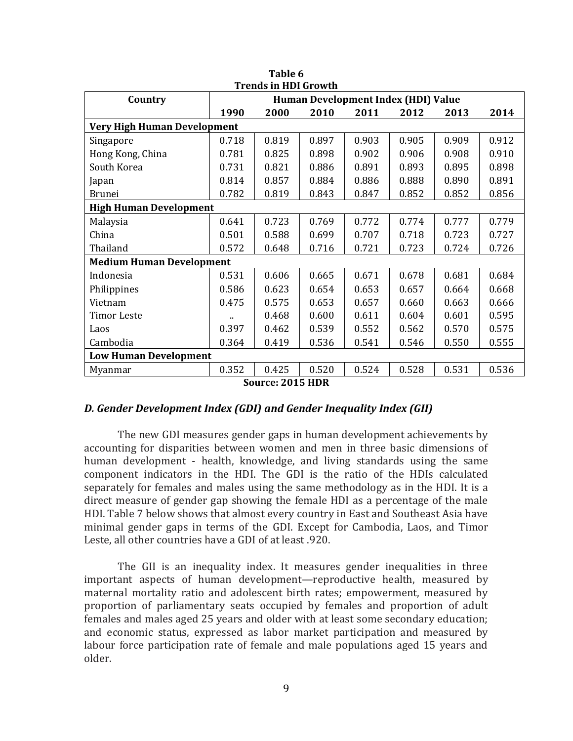|                                 | <b>Trends in HDI Growth</b> |       |                                     |       |       |       |       |
|---------------------------------|-----------------------------|-------|-------------------------------------|-------|-------|-------|-------|
| Country                         |                             |       | Human Development Index (HDI) Value |       |       |       |       |
|                                 | 1990                        | 2000  | 2010                                | 2011  | 2012  | 2013  | 2014  |
| Very High Human Development     |                             |       |                                     |       |       |       |       |
| Singapore                       | 0.718                       | 0.819 | 0.897                               | 0.903 | 0.905 | 0.909 | 0.912 |
| Hong Kong, China                | 0.781                       | 0.825 | 0.898                               | 0.902 | 0.906 | 0.908 | 0.910 |
| South Korea                     | 0.731                       | 0.821 | 0.886                               | 0.891 | 0.893 | 0.895 | 0.898 |
| Japan                           | 0.814                       | 0.857 | 0.884                               | 0.886 | 0.888 | 0.890 | 0.891 |
| <b>Brunei</b>                   | 0.782                       | 0.819 | 0.843                               | 0.847 | 0.852 | 0.852 | 0.856 |
| <b>High Human Development</b>   |                             |       |                                     |       |       |       |       |
| Malaysia                        | 0.641                       | 0.723 | 0.769                               | 0.772 | 0.774 | 0.777 | 0.779 |
| China                           | 0.501                       | 0.588 | 0.699                               | 0.707 | 0.718 | 0.723 | 0.727 |
| Thailand                        | 0.572                       | 0.648 | 0.716                               | 0.721 | 0.723 | 0.724 | 0.726 |
| <b>Medium Human Development</b> |                             |       |                                     |       |       |       |       |
| Indonesia                       | 0.531                       | 0.606 | 0.665                               | 0.671 | 0.678 | 0.681 | 0.684 |
| Philippines                     | 0.586                       | 0.623 | 0.654                               | 0.653 | 0.657 | 0.664 | 0.668 |
| Vietnam                         | 0.475                       | 0.575 | 0.653                               | 0.657 | 0.660 | 0.663 | 0.666 |
| <b>Timor Leste</b>              |                             | 0.468 | 0.600                               | 0.611 | 0.604 | 0.601 | 0.595 |
| Laos                            | 0.397                       | 0.462 | 0.539                               | 0.552 | 0.562 | 0.570 | 0.575 |
| Cambodia                        | 0.364                       | 0.419 | 0.536                               | 0.541 | 0.546 | 0.550 | 0.555 |
| <b>Low Human Development</b>    |                             |       |                                     |       |       |       |       |
| Myanmar                         | 0.352                       | 0.425 | 0.520                               | 0.524 | 0.528 | 0.531 | 0.536 |
|                                 |                             |       | $0.04$ $\equiv$ IIDD                |       |       |       |       |

**Table 6**

#### *D. Gender Development Index (GDI) and Gender Inequality Index (GII)*

The new GDI measures gender gaps in human development achievements by accounting for disparities between women and men in three basic dimensions of human development - health, knowledge, and living standards using the same component indicators in the HDI. The GDI is the ratio of the HDIs calculated separately for females and males using the same methodology as in the HDI. It is a direct measure of gender gap showing the female HDI as a percentage of the male HDI. Table 7 below shows that almost every country in East and Southeast Asia have minimal gender gaps in terms of the GDI. Except for Cambodia, Laos, and Timor Leste, all other countries have a GDI of at least .920.

The GII is an inequality index. It measures gender inequalities in three important aspects of human development—reproductive health, measured by maternal mortality ratio and adolescent birth rates; empowerment, measured by proportion of parliamentary seats occupied by females and proportion of adult females and males aged 25 years and older with at least some secondary education; and economic status, expressed as labor market participation and measured by labour force participation rate of female and male populations aged 15 years and older.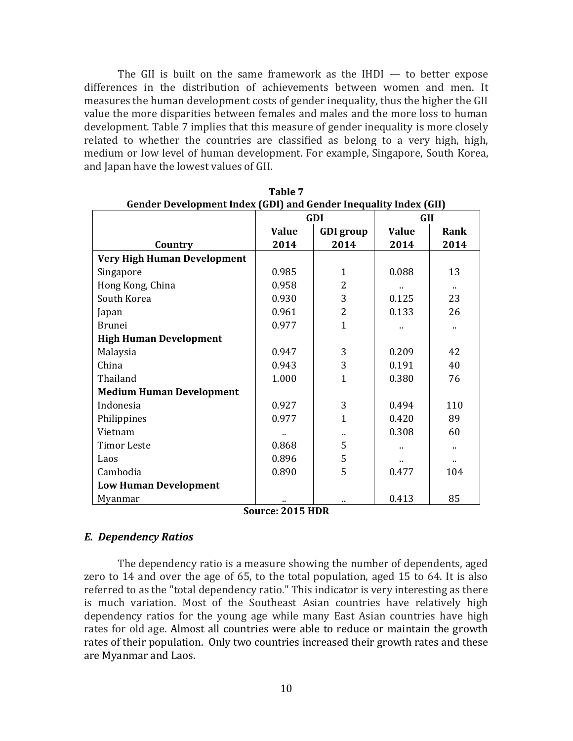The GII is built on the same framework as the  $IHDI -$  to better expose differences in the distribution of achievements between women and men. It measures the human development costs of gender inequality, thus the higher the GII value the more disparities between females and males and the more loss to human development. Table 7 implies that this measure of gender inequality is more closely related to whether the countries are classified as belong to a very high, high, medium or low level of human development. For example, Singapore, South Korea, and Japan have the lowest values of GII.

| <b>Gender Development Index (GDI) and Gender Inequality Index (GII)</b> |              |                  |              |                      |
|-------------------------------------------------------------------------|--------------|------------------|--------------|----------------------|
|                                                                         |              | GDI              | <b>GII</b>   |                      |
|                                                                         | <b>Value</b> | <b>GDI</b> group | <b>Value</b> | Rank                 |
| Country                                                                 | 2014         | 2014             | 2014         | 2014                 |
| <b>Very High Human Development</b>                                      |              |                  |              |                      |
| Singapore                                                               | 0.985        | $\mathbf{1}$     | 0.088        | 13                   |
| Hong Kong, China                                                        | 0.958        | 2                |              | $\ddot{\phantom{a}}$ |
| South Korea                                                             | 0.930        | 3                | 0.125        | 23                   |
| Japan                                                                   | 0.961        | $\overline{2}$   | 0.133        | 26                   |
| <b>Brunei</b>                                                           | 0.977        | $\mathbf{1}$     |              |                      |
| <b>High Human Development</b>                                           |              |                  |              |                      |
| Malaysia                                                                | 0.947        | 3                | 0.209        | 42                   |
| China                                                                   | 0.943        | 3                | 0.191        | 40                   |
| Thailand                                                                | 1.000        | $\mathbf{1}$     | 0.380        | 76                   |
| <b>Medium Human Development</b>                                         |              |                  |              |                      |
| Indonesia                                                               | 0.927        | 3                | 0.494        | 110                  |
| Philippines                                                             | 0.977        | $\mathbf{1}$     | 0.420        | 89                   |
| Vietnam                                                                 |              | ٠.               | 0.308        | 60                   |
| <b>Timor Leste</b>                                                      | 0.868        | 5                |              |                      |
| Laos                                                                    | 0.896        | 5                |              |                      |
| Cambodia                                                                | 0.890        | 5                | 0.477        | 104                  |
| <b>Low Human Development</b>                                            |              |                  |              |                      |
| Myanmar<br>$\sim$                                                       |              |                  | 0.413        | 85                   |

| Table 7                                                         |
|-----------------------------------------------------------------|
| ander Development Index (CDI) and Cender Inequality Index (CII) |

**Source: 2015 HDR**

### *E. Dependency Ratios*

The dependency ratio is a measure showing the number of dependents, aged zero to 14 and over the age of 65, to the total population, aged 15 to 64. It is also referred to as the "total dependency ratio." This indicator is very interesting as there is much variation. Most of the Southeast Asian countries have relatively high dependency ratios for the young age while many East Asian countries have high rates for old age. Almost all countries were able to reduce or maintain the growth rates of their population. Only two countries increased their growth rates and these are Myanmar and Laos.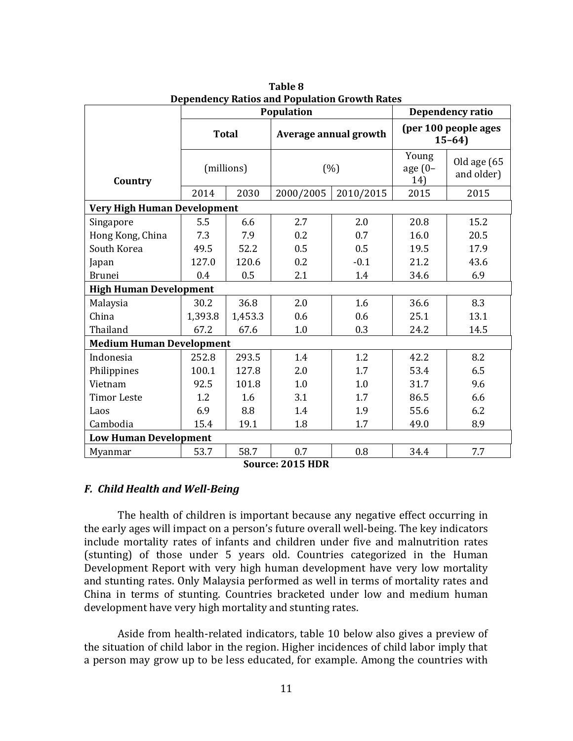|                                    | Population   |         |            |                       |                                 | Dependency ratio          |
|------------------------------------|--------------|---------|------------|-----------------------|---------------------------------|---------------------------|
|                                    | <b>Total</b> |         |            | Average annual growth | (per 100 people ages<br>$15-64$ |                           |
| Country                            | (millions)   |         |            | (%)                   | Young<br>age $(0-$<br>14)       | Old age (65<br>and older) |
|                                    | 2014         | 2030    | 2000/2005  | 2010/2015             | 2015                            | 2015                      |
| <b>Very High Human Development</b> |              |         |            |                       |                                 |                           |
| Singapore                          | 5.5          | 6.6     | 2.7        | 2.0                   | 20.8                            | 15.2                      |
| Hong Kong, China                   | 7.3          | 7.9     | 0.2        | 0.7                   | 16.0                            | 20.5                      |
| South Korea                        | 49.5         | 52.2    | 0.5        | 0.5                   | 19.5                            | 17.9                      |
| Japan                              | 127.0        | 120.6   | 0.2        | $-0.1$                | 21.2                            | 43.6                      |
| <b>Brunei</b>                      | 0.4          | 0.5     | 2.1<br>1.4 |                       | 34.6                            | 6.9                       |
| <b>High Human Development</b>      |              |         |            |                       |                                 |                           |
| Malaysia                           | 30.2         | 36.8    | 2.0        | 1.6                   | 36.6                            | 8.3                       |
| China                              | 1,393.8      | 1,453.3 | 0.6        | 0.6                   | 25.1                            | 13.1                      |
| Thailand                           | 67.2         | 67.6    | 1.0        | 0.3                   | 24.2                            | 14.5                      |
| <b>Medium Human Development</b>    |              |         |            |                       |                                 |                           |
| Indonesia                          | 252.8        | 293.5   | 1.4        | 1.2                   | 42.2                            | 8.2                       |
| Philippines                        | 100.1        | 127.8   | 2.0        | 1.7                   | 53.4                            | 6.5                       |
| Vietnam                            | 92.5         | 101.8   | 1.0        | 1.0                   | 31.7                            | 9.6                       |
| <b>Timor Leste</b>                 | 1.2          | 1.6     | 3.1        | 1.7                   | 86.5                            | 6.6                       |
| Laos                               | 6.9          | 8.8     | 1.4        | 1.9                   | 55.6                            | 6.2                       |
| Cambodia                           | 15.4         | 19.1    | 1.8        | 1.7                   | 49.0                            | 8.9                       |
| <b>Low Human Development</b>       |              |         |            |                       |                                 |                           |
| Myanmar                            | 53.7         | 58.7    | 0.7        | 0.8                   | 34.4                            | 7.7                       |
| Source: 2015 HDR                   |              |         |            |                       |                                 |                           |

**Table 8 Dependency Ratios and Population Growth Rates**

### *F. Child Health and Well-Being*

The health of children is important because any negative effect occurring in the early ages will impact on a person's future overall well-being. The key indicators include mortality rates of infants and children under five and malnutrition rates (stunting) of those under 5 years old. Countries categorized in the Human Development Report with very high human development have very low mortality and stunting rates. Only Malaysia performed as well in terms of mortality rates and China in terms of stunting. Countries bracketed under low and medium human development have very high mortality and stunting rates.

Aside from health-related indicators, table 10 below also gives a preview of the situation of child labor in the region. Higher incidences of child labor imply that a person may grow up to be less educated, for example. Among the countries with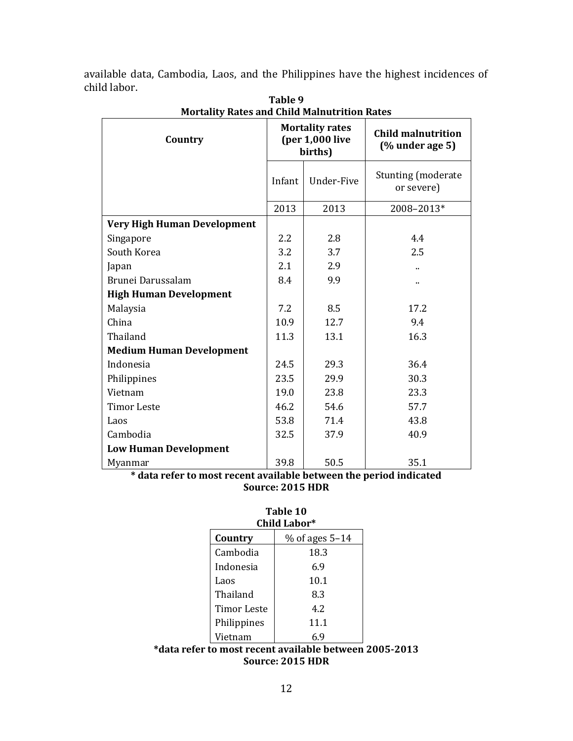available data, Cambodia, Laos, and the Philippines have the highest incidences of child labor.

| Mortanty Rates and Child Manidu Rhon Rates |                  |                                                        |                                                |
|--------------------------------------------|------------------|--------------------------------------------------------|------------------------------------------------|
| Country                                    |                  | <b>Mortality rates</b><br>$(per 1,000$ live<br>births) | <b>Child malnutrition</b><br>$(%$ under age 5) |
|                                            | Infant           | Under-Five                                             | <b>Stunting (moderate</b><br>or severe)        |
|                                            | 2013             | 2013                                                   | 2008-2013*                                     |
| <b>Very High Human Development</b>         |                  |                                                        |                                                |
| Singapore                                  | $2.2\phantom{0}$ | 2.8                                                    | 4.4                                            |
| South Korea                                | 3.2              | 3.7                                                    | 2.5                                            |
| Japan                                      | 2.1              | 2.9                                                    |                                                |
| Brunei Darussalam                          | 8.4              | 9.9                                                    |                                                |
| <b>High Human Development</b>              |                  |                                                        |                                                |
| Malaysia                                   | 7.2              | 8.5                                                    | 17.2                                           |
| China                                      | 10.9             | 12.7                                                   | 9.4                                            |
| Thailand                                   | 11.3             | 13.1                                                   | 16.3                                           |
| <b>Medium Human Development</b>            |                  |                                                        |                                                |
| Indonesia                                  | 24.5             | 29.3                                                   | 36.4                                           |
| Philippines                                | 23.5             | 29.9                                                   | 30.3                                           |
| Vietnam                                    | 19.0             | 23.8                                                   | 23.3                                           |
| <b>Timor Leste</b>                         | 46.2             | 54.6                                                   | 57.7                                           |
| Laos                                       | 53.8             | 71.4                                                   | 43.8                                           |
| Cambodia                                   | 32.5             | 37.9                                                   | 40.9                                           |
| <b>Low Human Development</b>               |                  |                                                        |                                                |
| Myanmar                                    | 39.8             | 50.5                                                   | 35.1                                           |

**Table 9 Mortality Rates and Child Malnutrition Rates**

**\* data refer to most recent available between the period indicated Source: 2015 HDR**

| Table 10     |
|--------------|
| Child Labor* |

| Country            | $%$ of ages 5–14 |
|--------------------|------------------|
| Cambodia           | 18.3             |
| Indonesia          | 6.9              |
| Laos               | 10.1             |
| Thailand           | 8.3              |
| <b>Timor Leste</b> | 4.2              |
| Philippines        | 11.1             |
| Vietnam            |                  |

## **\*data refer to most recent available between 2005-2013 Source: 2015 HDR**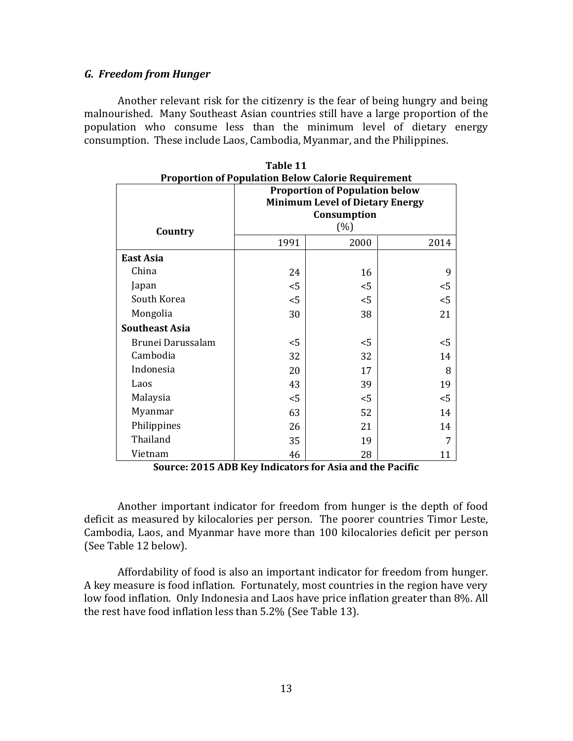### *G. Freedom from Hunger*

Another relevant risk for the citizenry is the fear of being hungry and being malnourished. Many Southeast Asian countries still have a large proportion of the population who consume less than the minimum level of dietary energy consumption. These include Laos, Cambodia, Myanmar, and the Philippines.

| <b>Proportion of Population Below Calorie Requirement</b> |                                                                                                |       |       |  |  |  |
|-----------------------------------------------------------|------------------------------------------------------------------------------------------------|-------|-------|--|--|--|
|                                                           | <b>Proportion of Population below</b><br><b>Minimum Level of Dietary Energy</b><br>Consumption |       |       |  |  |  |
| Country                                                   | $(\%)$                                                                                         |       |       |  |  |  |
|                                                           | 1991                                                                                           | 2000  | 2014  |  |  |  |
| East Asia                                                 |                                                                                                |       |       |  |  |  |
| China                                                     | 24                                                                                             | 16    | 9     |  |  |  |
| Japan                                                     | $<$ 5                                                                                          | $<$ 5 | $<$ 5 |  |  |  |
| South Korea                                               | $<$ 5                                                                                          | $<$ 5 | $<$ 5 |  |  |  |
| Mongolia                                                  | 30                                                                                             | 38    | 21    |  |  |  |
| <b>Southeast Asia</b>                                     |                                                                                                |       |       |  |  |  |
| Brunei Darussalam                                         | $<$ 5                                                                                          | $<$ 5 | $5$   |  |  |  |
| Cambodia                                                  | 32                                                                                             | 32    | 14    |  |  |  |
| Indonesia                                                 | 20                                                                                             | 17    | 8     |  |  |  |
| Laos                                                      | 43                                                                                             | 39    | 19    |  |  |  |
| Malaysia                                                  | $<$ 5                                                                                          | $<$ 5 | $<$ 5 |  |  |  |
| Myanmar                                                   | 63                                                                                             | 52    | 14    |  |  |  |
| Philippines                                               | 26                                                                                             | 21    | 14    |  |  |  |
| Thailand                                                  | 35                                                                                             | 19    |       |  |  |  |
| Vietnam                                                   | 46                                                                                             | 28    | 11    |  |  |  |

**Table 11**

**Source: 2015 ADB Key Indicators for Asia and the Pacific**

Another important indicator for freedom from hunger is the depth of food deficit as measured by kilocalories per person. The poorer countries Timor Leste, Cambodia, Laos, and Myanmar have more than 100 kilocalories deficit per person (See Table 12 below).

Affordability of food is also an important indicator for freedom from hunger. A key measure is food inflation. Fortunately, most countries in the region have very low food inflation. Only Indonesia and Laos have price inflation greater than 8%. All the rest have food inflation less than 5.2% (See Table 13).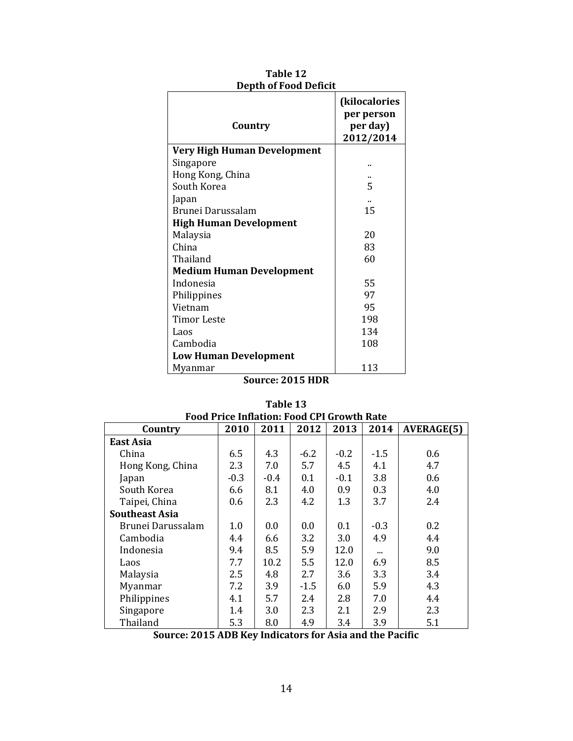| Country                            | (kilocalories<br>per person<br>per day)<br>2012/2014 |
|------------------------------------|------------------------------------------------------|
| <b>Very High Human Development</b> |                                                      |
| Singapore                          |                                                      |
| Hong Kong, China                   |                                                      |
| South Korea                        | 5                                                    |
| Japan                              |                                                      |
| Brunei Darussalam                  | 15                                                   |
| <b>High Human Development</b>      |                                                      |
| Malaysia                           | 20                                                   |
| China                              | 83                                                   |
| Thailand                           | 60                                                   |
| <b>Medium Human Development</b>    |                                                      |
| Indonesia                          | 55                                                   |
| Philippines                        | 97                                                   |
| Vietnam                            | 95                                                   |
| Timor Leste                        | 198                                                  |
| Laos                               | 134                                                  |
| Cambodia                           | 108                                                  |
| <b>Low Human Development</b>       |                                                      |
| Myanmar                            | 113                                                  |

| Table 12                     |
|------------------------------|
| <b>Depth of Food Deficit</b> |

| 'able |
|-------|
|-------|

| Country               | 2010   | 2011   | 2012   | 2013   | 2014     | <b>AVERAGE(5)</b> |
|-----------------------|--------|--------|--------|--------|----------|-------------------|
| East Asia             |        |        |        |        |          |                   |
| China                 | 6.5    | 4.3    | $-6.2$ | $-0.2$ | $-1.5$   | 0.6               |
| Hong Kong, China      | 2.3    | 7.0    | 5.7    | 4.5    | 4.1      | 4.7               |
| Japan                 | $-0.3$ | $-0.4$ | 0.1    | $-0.1$ | 3.8      | 0.6               |
| South Korea           | 6.6    | 8.1    | 4.0    | 0.9    | 0.3      | 4.0               |
| Taipei, China         | 0.6    | 2.3    | 4.2    | 1.3    | 3.7      | 2.4               |
| <b>Southeast Asia</b> |        |        |        |        |          |                   |
| Brunei Darussalam     | 1.0    | 0.0    | 0.0    | 0.1    | $-0.3$   | 0.2               |
| Cambodia              | 4.4    | 6.6    | 3.2    | 3.0    | 4.9      | 4.4               |
| Indonesia             | 9.4    | 8.5    | 5.9    | 12.0   | $\cdots$ | 9.0               |
| Laos                  | 7.7    | 10.2   | 5.5    | 12.0   | 6.9      | 8.5               |
| Malaysia              | 2.5    | 4.8    | 2.7    | 3.6    | 3.3      | 3.4               |
| Myanmar               | 7.2    | 3.9    | $-1.5$ | 6.0    | 5.9      | 4.3               |
| Philippines           | 4.1    | 5.7    | 2.4    | 2.8    | 7.0      | 4.4               |
| Singapore             | 1.4    | 3.0    | 2.3    | 2.1    | 2.9      | 2.3               |
| Thailand              | 5.3    | 8.0    | 4.9    | 3.4    | 3.9      | 5.1               |

| Table 13                                          |  |
|---------------------------------------------------|--|
| <b>Food Price Inflation: Food CPI Growth Rate</b> |  |

**Source: 2015 ADB Key Indicators for Asia and the Pacific**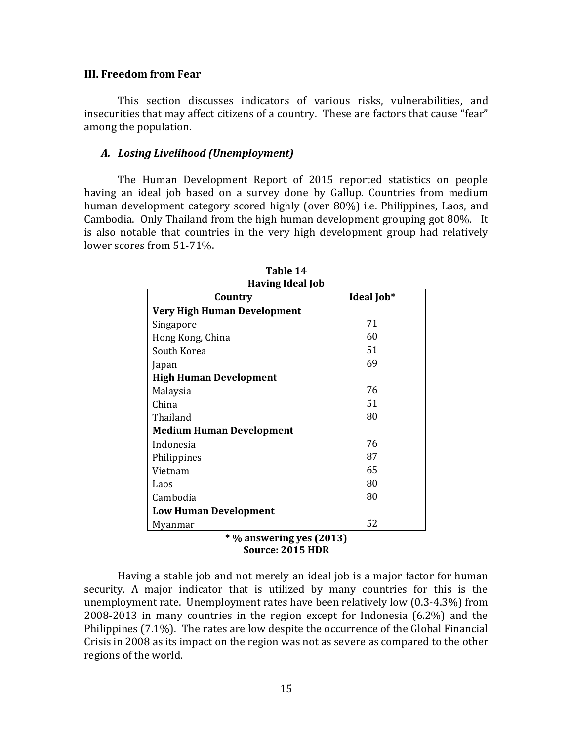#### **III. Freedom from Fear**

This section discusses indicators of various risks, vulnerabilities, and insecurities that may affect citizens of a country. These are factors that cause "fear" among the population.

#### *A. Losing Livelihood (Unemployment)*

The Human Development Report of 2015 reported statistics on people having an ideal job based on a survey done by Gallup. Countries from medium human development category scored highly (over 80%) i.e. Philippines, Laos, and Cambodia. Only Thailand from the high human development grouping got 80%. It is also notable that countries in the very high development group had relatively lower scores from 51-71%.

| Country                            | Ideal Job* |  |  |  |
|------------------------------------|------------|--|--|--|
| <b>Very High Human Development</b> |            |  |  |  |
| Singapore                          | 71         |  |  |  |
| Hong Kong, China                   | 60         |  |  |  |
| South Korea                        | 51         |  |  |  |
| Japan                              | 69         |  |  |  |
| <b>High Human Development</b>      |            |  |  |  |
| Malaysia                           | 76         |  |  |  |
| China                              | 51         |  |  |  |
| Thailand                           | 80         |  |  |  |
| <b>Medium Human Development</b>    |            |  |  |  |
| Indonesia                          | 76         |  |  |  |
| Philippines                        | 87         |  |  |  |
| Vietnam                            | 65         |  |  |  |
| Laos                               | 80         |  |  |  |
| Cambodia                           | 80         |  |  |  |
| <b>Low Human Development</b>       |            |  |  |  |
| Myanmar                            | 52         |  |  |  |
| * % answering ves (2013)           |            |  |  |  |

**Table 14 Having Ideal Job**

**\* % answering yes (2013) Source: 2015 HDR**

Having a stable job and not merely an ideal job is a major factor for human security. A major indicator that is utilized by many countries for this is the unemployment rate. Unemployment rates have been relatively low (0.3-4.3%) from 2008-2013 in many countries in the region except for Indonesia (6.2%) and the Philippines (7.1%). The rates are low despite the occurrence of the Global Financial Crisis in 2008 as its impact on the region was not as severe as compared to the other regions of the world.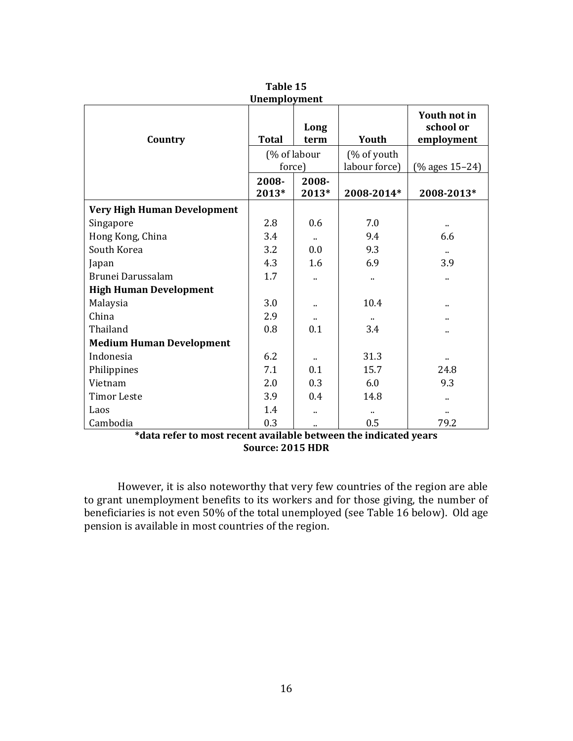| <b>Unemployment</b>                                          |              |                      |               |                                         |  |  |
|--------------------------------------------------------------|--------------|----------------------|---------------|-----------------------------------------|--|--|
| Country                                                      | <b>Total</b> | Long<br>term         | Youth         | Youth not in<br>school or<br>employment |  |  |
|                                                              |              | (% of labour         | (% of youth   |                                         |  |  |
|                                                              | force)       |                      | labour force) | $(%$ ages $15-24)$                      |  |  |
|                                                              | 2008-        | 2008-                |               |                                         |  |  |
|                                                              | 2013*        | 2013*                | 2008-2014*    | 2008-2013*                              |  |  |
| Very High Human Development                                  |              |                      |               |                                         |  |  |
| Singapore                                                    | 2.8          | 0.6                  | 7.0           | ٠.                                      |  |  |
| Hong Kong, China                                             | 3.4          | $\cdot$ .            | 9.4           | 6.6                                     |  |  |
| South Korea                                                  | 3.2          | 0.0                  | 9.3           | $\ddotsc$                               |  |  |
| Japan                                                        | 4.3          | 1.6                  | 6.9           | 3.9                                     |  |  |
| Brunei Darussalam                                            | 1.7          | ٠.                   | ٠.            | Ω.                                      |  |  |
| <b>High Human Development</b>                                |              |                      |               |                                         |  |  |
| Malaysia                                                     | 3.0          | $\ddot{\phantom{a}}$ | 10.4          | ٠.                                      |  |  |
| China                                                        | 2.9          |                      |               |                                         |  |  |
| Thailand                                                     | 0.8          | 0.1                  | 3.4           |                                         |  |  |
| <b>Medium Human Development</b>                              |              |                      |               |                                         |  |  |
| Indonesia                                                    | 6.2          |                      | 31.3          |                                         |  |  |
| Philippines                                                  | 7.1          | 0.1                  | 15.7          | 24.8                                    |  |  |
| Vietnam                                                      | 2.0          | 0.3                  | 6.0           | 9.3                                     |  |  |
| <b>Timor Leste</b>                                           | 3.9          | 0.4                  | 14.8          | ٠.                                      |  |  |
| Laos                                                         | 1.4          | $\cdot$ .            | ٠.            |                                         |  |  |
| Cambodia                                                     | 0.3          |                      | 0.5           | 79.2                                    |  |  |
| that indicated vecant and also happened that indicated vears |              |                      |               |                                         |  |  |

**Table 15**

However, it is also noteworthy that very few countries of the region are able to grant unemployment benefits to its workers and for those giving, the number of beneficiaries is not even 50% of the total unemployed (see Table 16 below). Old age pension is available in most countries of the region.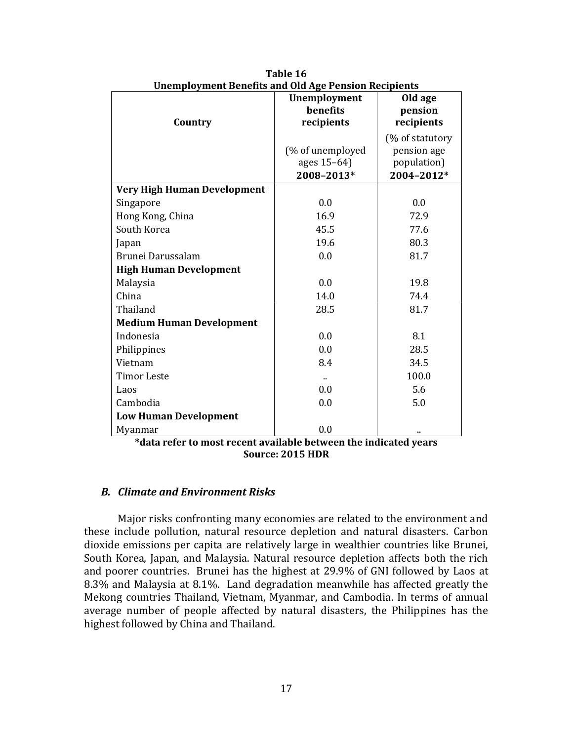| onemployment benefits and old lige I chaigh recipients |                  |                 |
|--------------------------------------------------------|------------------|-----------------|
|                                                        | Unemployment     | Old age         |
|                                                        | benefits         | pension         |
| Country                                                | recipients       | recipients      |
|                                                        |                  | (% of statutory |
|                                                        | (% of unemployed | pension age     |
|                                                        | ages 15-64)      | population)     |
|                                                        | 2008-2013*       | 2004-2012*      |
| Very High Human Development                            |                  |                 |
| Singapore                                              | 0.0              | 0.0             |
| Hong Kong, China                                       | 16.9             | 72.9            |
| South Korea                                            | 45.5             | 77.6            |
| Japan                                                  | 19.6             | 80.3            |
| Brunei Darussalam                                      | 0.0              | 81.7            |
| <b>High Human Development</b>                          |                  |                 |
| Malaysia                                               | 0.0              | 19.8            |
| China                                                  | 14.0             | 74.4            |
| Thailand                                               | 28.5             | 81.7            |
| <b>Medium Human Development</b>                        |                  |                 |
| Indonesia                                              | 0.0              | 8.1             |
| Philippines                                            | 0.0              | 28.5            |
| Vietnam                                                | 8.4              | 34.5            |
| <b>Timor Leste</b>                                     | ٠.               | 100.0           |
| Laos                                                   | 0.0              | 5.6             |
| Cambodia                                               | 0.0              | 5.0             |
| <b>Low Human Development</b>                           |                  |                 |
| Myanmar                                                | 0.0              |                 |

**Table 16 Unemployment Benefits and Old Age Pension Recipients**

### *B. Climate and Environment Risks*

Major risks confronting many economies are related to the environment and these include pollution, natural resource depletion and natural disasters. Carbon dioxide emissions per capita are relatively large in wealthier countries like Brunei, South Korea, Japan, and Malaysia. Natural resource depletion affects both the rich and poorer countries. Brunei has the highest at 29.9% of GNI followed by Laos at 8.3% and Malaysia at 8.1%. Land degradation meanwhile has affected greatly the Mekong countries Thailand, Vietnam, Myanmar, and Cambodia. In terms of annual average number of people affected by natural disasters, the Philippines has the highest followed by China and Thailand.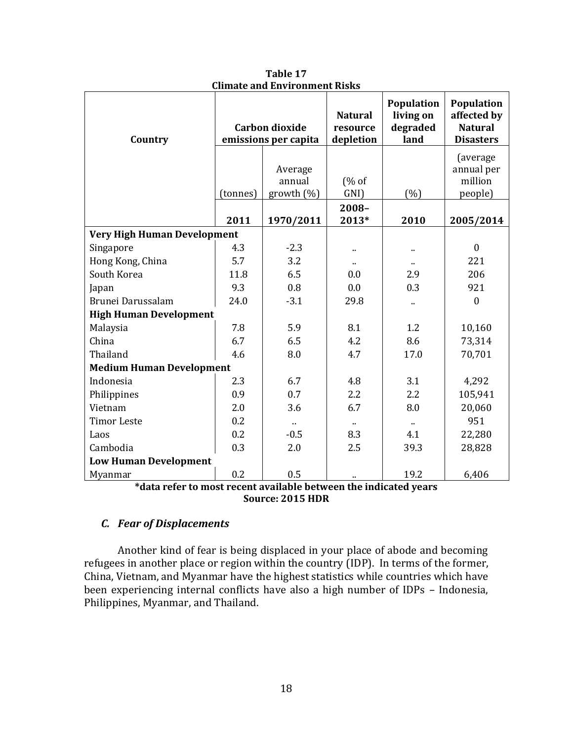| Country                            | <b>Carbon dioxide</b><br>emissions per capita |            | <b>Natural</b><br>resource<br>depletion | Population<br>living on<br>degraded<br>land | <b>Population</b><br>affected by<br><b>Natural</b><br><b>Disasters</b> |
|------------------------------------|-----------------------------------------------|------------|-----------------------------------------|---------------------------------------------|------------------------------------------------------------------------|
|                                    |                                               | Average    |                                         |                                             | (average)<br>annual per                                                |
|                                    |                                               | annual     | (% of                                   |                                             | million                                                                |
|                                    | (tonnes)                                      | growth (%) | GNI)                                    | (%)                                         | people)                                                                |
|                                    | 2011                                          | 1970/2011  | $2008 -$<br>2013*                       | 2010                                        | 2005/2014                                                              |
| <b>Very High Human Development</b> |                                               |            |                                         |                                             |                                                                        |
| Singapore                          | 4.3                                           | $-2.3$     |                                         |                                             | $\boldsymbol{0}$                                                       |
| Hong Kong, China                   | 5.7                                           | 3.2        | $\ddot{\phantom{a}}$                    |                                             | 221                                                                    |
| South Korea                        | 11.8                                          | 6.5        | 0.0                                     | 2.9                                         | 206                                                                    |
| Japan                              | 9.3                                           | 0.8        | 0.0                                     | 0.3                                         | 921                                                                    |
| Brunei Darussalam                  | 24.0                                          | $-3.1$     | 29.8                                    |                                             | $\boldsymbol{0}$                                                       |
| <b>High Human Development</b>      |                                               |            |                                         |                                             |                                                                        |
| Malaysia                           | 7.8                                           | 5.9        | 8.1                                     | 1.2                                         | 10,160                                                                 |
| China                              | 6.7                                           | 6.5        | 4.2                                     | 8.6                                         | 73,314                                                                 |
| Thailand                           | 4.6                                           | 8.0        | 4.7                                     | 17.0                                        | 70,701                                                                 |
| <b>Medium Human Development</b>    |                                               |            |                                         |                                             |                                                                        |
| Indonesia                          | 2.3                                           | 6.7        | 4.8                                     | 3.1                                         | 4,292                                                                  |
| Philippines                        | 0.9                                           | 0.7        | 2.2                                     | 2.2                                         | 105,941                                                                |
| Vietnam                            | 2.0                                           | 3.6        | 6.7                                     | 8.0                                         | 20,060                                                                 |
| <b>Timor Leste</b>                 | 0.2                                           |            |                                         |                                             | 951                                                                    |
| Laos                               | 0.2                                           | $-0.5$     | 8.3                                     | 4.1                                         | 22,280                                                                 |
| Cambodia                           | 0.3                                           | 2.0        | 2.5                                     | 39.3                                        | 28,828                                                                 |
| <b>Low Human Development</b>       |                                               |            |                                         |                                             |                                                                        |
| Myanmar<br>$+1$ $+$                | 0.2                                           | 0.5<br>.   | .                                       | 19.2<br>$\blacksquare$                      | 6,406                                                                  |

**Table 17 Climate and Environment Risks**

# *C. Fear of Displacements*

Another kind of fear is being displaced in your place of abode and becoming refugees in another place or region within the country (IDP). In terms of the former, China, Vietnam, and Myanmar have the highest statistics while countries which have been experiencing internal conflicts have also a high number of IDPs – Indonesia, Philippines, Myanmar, and Thailand.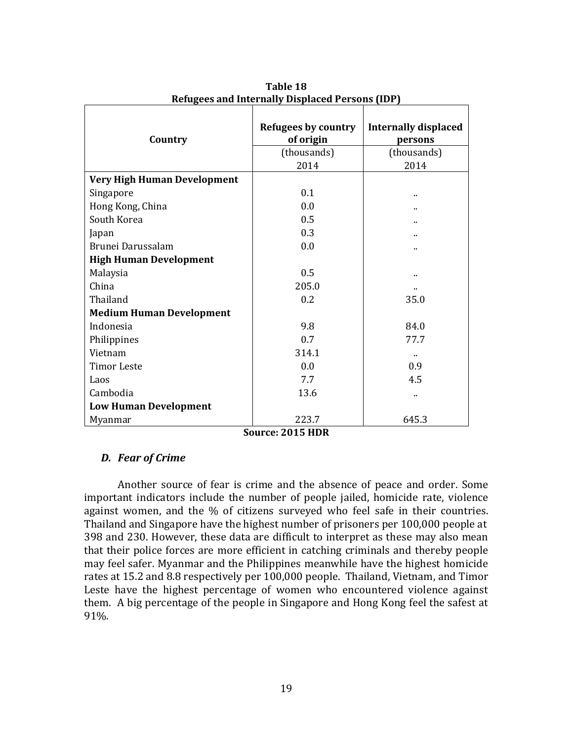| Country                            | <b>Refugees by country</b><br>of origin<br>(thousands)<br>2014 | <b>Internally displaced</b><br>persons<br>(thousands)<br>2014 |  |
|------------------------------------|----------------------------------------------------------------|---------------------------------------------------------------|--|
| <b>Very High Human Development</b> |                                                                |                                                               |  |
| Singapore                          | 0.1                                                            |                                                               |  |
| Hong Kong, China                   | 0.0                                                            |                                                               |  |
| South Korea                        | 0.5                                                            |                                                               |  |
| Japan                              | 0.3                                                            |                                                               |  |
| Brunei Darussalam                  | 0.0                                                            |                                                               |  |
| <b>High Human Development</b>      |                                                                |                                                               |  |
| Malaysia                           | 0.5                                                            |                                                               |  |
| China                              | 205.0                                                          |                                                               |  |
| Thailand                           | 0.2                                                            | 35.0                                                          |  |
| <b>Medium Human Development</b>    |                                                                |                                                               |  |
| Indonesia                          | 9.8                                                            | 84.0                                                          |  |
| Philippines                        | 0.7                                                            | 77.7                                                          |  |
| Vietnam                            | 314.1                                                          | $\ddot{\phantom{a}}$                                          |  |
| <b>Timor Leste</b>                 | 0.0                                                            | 0.9                                                           |  |
| Laos                               | 7.7                                                            | 4.5                                                           |  |
| Cambodia                           | 13.6                                                           |                                                               |  |
| <b>Low Human Development</b>       |                                                                |                                                               |  |
| Myanmar<br>r.                      | 223.7<br>001 <b>- 11 - 11</b>                                  | 645.3                                                         |  |

**Table 18 Refugees and Internally Displaced Persons (IDP)**

# *D. Fear of Crime*

Another source of fear is crime and the absence of peace and order. Some important indicators include the number of people jailed, homicide rate, violence against women, and the % of citizens surveyed who feel safe in their countries. Thailand and Singapore have the highest number of prisoners per 100,000 people at 398 and 230. However, these data are difficult to interpret as these may also mean that their police forces are more efficient in catching criminals and thereby people may feel safer. Myanmar and the Philippines meanwhile have the highest homicide rates at 15.2 and 8.8 respectively per 100,000 people. Thailand, Vietnam, and Timor Leste have the highest percentage of women who encountered violence against them. A big percentage of the people in Singapore and Hong Kong feel the safest at 91%.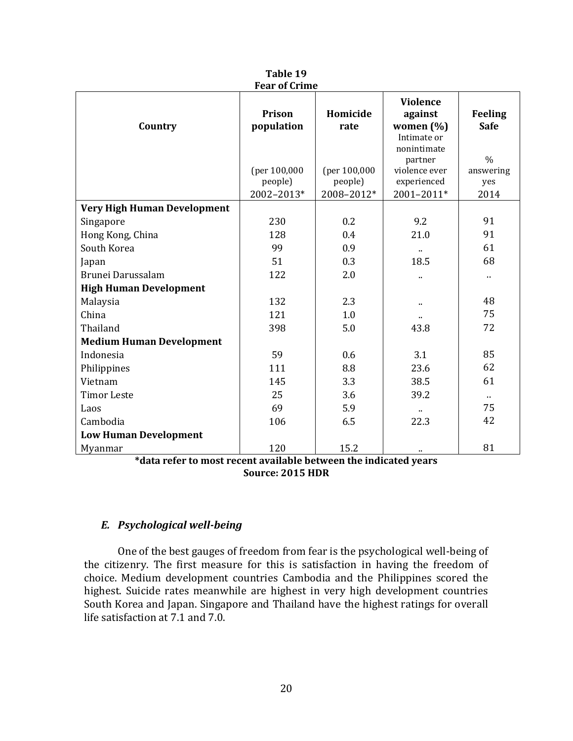|                                    | rear of crime        |                  |                                                                                  |                                                |
|------------------------------------|----------------------|------------------|----------------------------------------------------------------------------------|------------------------------------------------|
| Country                            | Prison<br>population | Homicide<br>rate | <b>Violence</b><br>against<br>women (%)<br>Intimate or<br>nonintimate<br>partner | <b>Feeling</b><br><b>Safe</b><br>$\frac{0}{0}$ |
|                                    | (per 100,000         | (per 100,000     | violence ever                                                                    | answering                                      |
|                                    | people)              | people)          | experienced                                                                      | yes                                            |
|                                    | 2002-2013*           | 2008-2012*       | 2001-2011*                                                                       | 2014                                           |
| <b>Very High Human Development</b> |                      |                  |                                                                                  |                                                |
| Singapore                          | 230                  | 0.2              | 9.2                                                                              | 91                                             |
| Hong Kong, China                   | 128                  | 0.4              | 21.0                                                                             | 91                                             |
| South Korea                        | 99                   | 0.9              |                                                                                  | 61                                             |
| Japan                              | 51                   | 0.3              | 18.5                                                                             | 68                                             |
| Brunei Darussalam                  | 122                  | 2.0              | ٠.                                                                               | $\ddot{\phantom{a}}$                           |
| <b>High Human Development</b>      |                      |                  |                                                                                  |                                                |
| Malaysia                           | 132                  | 2.3              | .,                                                                               | 48                                             |
| China                              | 121                  | 1.0              | .,                                                                               | 75                                             |
| Thailand                           | 398                  | 5.0              | 43.8                                                                             | 72                                             |
| <b>Medium Human Development</b>    |                      |                  |                                                                                  |                                                |
| Indonesia                          | 59                   | 0.6              | 3.1                                                                              | 85                                             |
| Philippines                        | 111                  | 8.8              | 23.6                                                                             | 62                                             |
| Vietnam                            | 145                  | 3.3              | 38.5                                                                             | 61                                             |
| <b>Timor Leste</b>                 | 25                   | 3.6              | 39.2                                                                             | $\sim$                                         |
| Laos                               | 69                   | 5.9              |                                                                                  | 75                                             |
| Cambodia                           | 106                  | 6.5              | 22.3                                                                             | 42                                             |
| <b>Low Human Development</b>       |                      |                  |                                                                                  |                                                |
| Myanmar                            | 120                  | 15.2             | .,                                                                               | 81                                             |

**Table 19 Fear of Crime**

## *E. Psychological well-being*

One of the best gauges of freedom from fear is the psychological well-being of the citizenry. The first measure for this is satisfaction in having the freedom of choice. Medium development countries Cambodia and the Philippines scored the highest. Suicide rates meanwhile are highest in very high development countries South Korea and Japan. Singapore and Thailand have the highest ratings for overall life satisfaction at 7.1 and 7.0.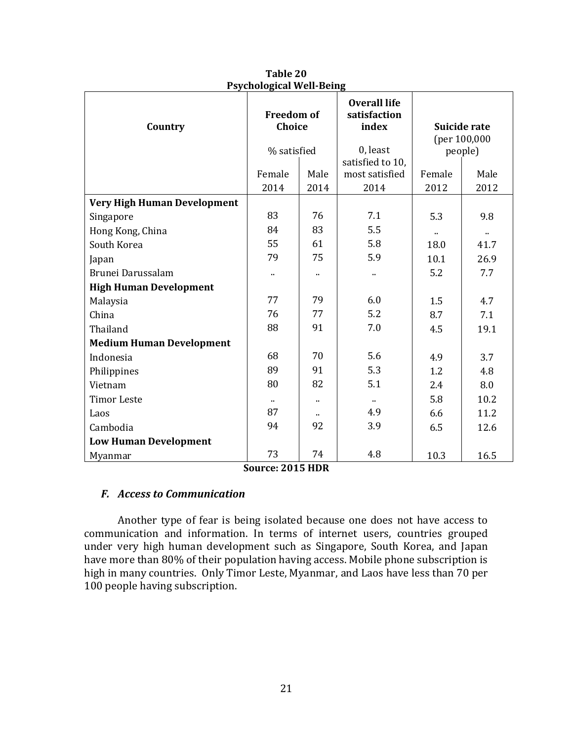| I sychological well being       |                             |                      |                                              |                              |           |  |
|---------------------------------|-----------------------------|----------------------|----------------------------------------------|------------------------------|-----------|--|
| Country                         | <b>Freedom of</b><br>Choice |                      | <b>Overall life</b><br>satisfaction<br>index | Suicide rate<br>(per 100,000 |           |  |
|                                 |                             |                      | 0, least                                     |                              |           |  |
|                                 | % satisfied                 |                      | satisfied to 10,                             | people)                      |           |  |
|                                 | Female                      | Male                 | most satisfied                               | Female                       | Male      |  |
|                                 | 2014                        | 2014                 | 2014                                         | 2012                         | 2012      |  |
| Very High Human Development     |                             |                      |                                              |                              |           |  |
| Singapore                       | 83                          | 76                   | 7.1                                          | 5.3                          | 9.8       |  |
| Hong Kong, China                | 84                          | 83                   | 5.5                                          | $\ddot{\phantom{a}}$         | $\cdot$ . |  |
| South Korea                     | 55                          | 61                   | 5.8                                          | 18.0                         | 41.7      |  |
| Japan                           | 79                          | 75                   | 5.9                                          | 10.1                         | 26.9      |  |
| Brunei Darussalam               | н,                          | $\ddot{\phantom{a}}$ |                                              | 5.2                          | 7.7       |  |
| <b>High Human Development</b>   |                             |                      |                                              |                              |           |  |
| Malaysia                        | 77                          | 79                   | 6.0                                          | 1.5                          | 4.7       |  |
| China                           | 76                          | 77                   | 5.2                                          | 8.7                          | 7.1       |  |
| Thailand                        | 88                          | 91                   | 7.0                                          | 4.5                          | 19.1      |  |
| <b>Medium Human Development</b> |                             |                      |                                              |                              |           |  |
| Indonesia                       | 68                          | 70                   | 5.6                                          | 4.9                          | 3.7       |  |
| Philippines                     | 89                          | 91                   | 5.3                                          | 1.2                          | 4.8       |  |
| Vietnam                         | 80                          | 82                   | 5.1                                          | 2.4                          | 8.0       |  |
| <b>Timor Leste</b>              | $\blacksquare$              | $\ddot{\phantom{a}}$ | .,                                           | 5.8                          | 10.2      |  |
| Laos                            | 87                          | ٠.                   | 4.9                                          | 6.6                          | 11.2      |  |
| Cambodia                        | 94                          | 92                   | 3.9                                          | 6.5                          | 12.6      |  |
| <b>Low Human Development</b>    |                             |                      |                                              |                              |           |  |
| Myanmar                         | 73                          | 74                   | 4.8                                          | 10.3                         | 16.5      |  |

**Table 20 Psychological Well-Being**

# *F. Access to Communication*

Another type of fear is being isolated because one does not have access to communication and information. In terms of internet users, countries grouped under very high human development such as Singapore, South Korea, and Japan have more than 80% of their population having access. Mobile phone subscription is high in many countries. Only Timor Leste, Myanmar, and Laos have less than 70 per 100 people having subscription.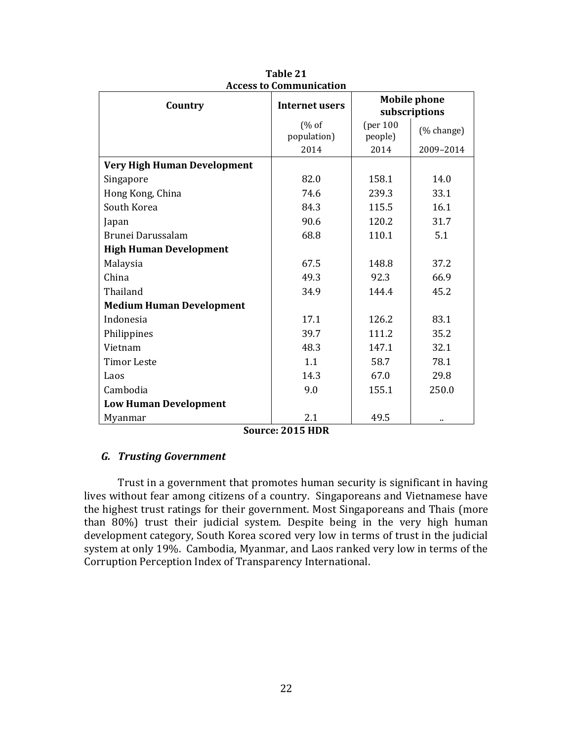| Country                            | ессээ со соннишинсасгон<br><b>Internet users</b> | <b>Mobile phone</b><br>subscriptions |            |
|------------------------------------|--------------------------------------------------|--------------------------------------|------------|
|                                    | (% of<br>population)                             | [per 100]<br>people)                 | (% change) |
|                                    | 2014                                             | 2014                                 | 2009-2014  |
| <b>Very High Human Development</b> |                                                  |                                      |            |
| Singapore                          | 82.0                                             | 158.1                                | 14.0       |
| Hong Kong, China                   | 74.6                                             | 239.3                                | 33.1       |
| South Korea                        | 84.3                                             | 115.5                                | 16.1       |
| Japan                              | 90.6                                             | 120.2                                | 31.7       |
| Brunei Darussalam                  | 68.8                                             | 110.1                                | 5.1        |
| <b>High Human Development</b>      |                                                  |                                      |            |
| Malaysia                           | 67.5                                             | 148.8                                | 37.2       |
| China                              | 49.3                                             | 92.3                                 | 66.9       |
| Thailand                           | 34.9                                             | 144.4                                | 45.2       |
| <b>Medium Human Development</b>    |                                                  |                                      |            |
| Indonesia                          | 17.1                                             | 126.2                                | 83.1       |
| Philippines                        | 39.7                                             | 111.2                                | 35.2       |
| Vietnam                            | 48.3                                             | 147.1                                | 32.1       |
| <b>Timor Leste</b>                 | 1.1                                              | 58.7                                 | 78.1       |
| Laos                               | 14.3                                             | 67.0                                 | 29.8       |
| Cambodia                           | 9.0                                              | 155.1                                | 250.0      |
| <b>Low Human Development</b>       |                                                  |                                      |            |
| Myanmar                            | 2.1                                              | 49.5                                 |            |

**Table 21 Access to Communication**

# *G. Trusting Government*

Trust in a government that promotes human security is significant in having lives without fear among citizens of a country. Singaporeans and Vietnamese have the highest trust ratings for their government. Most Singaporeans and Thais (more than 80%) trust their judicial system. Despite being in the very high human development category, South Korea scored very low in terms of trust in the judicial system at only 19%. Cambodia, Myanmar, and Laos ranked very low in terms of the Corruption Perception Index of Transparency International.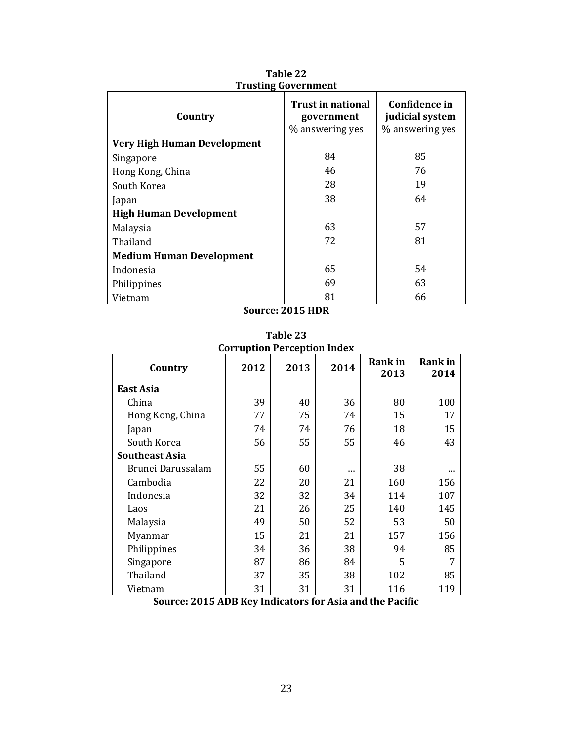| Country                            | Trust in national<br>government<br>% answering yes | Confidence in<br>judicial system<br>% answering yes |
|------------------------------------|----------------------------------------------------|-----------------------------------------------------|
| <b>Very High Human Development</b> |                                                    |                                                     |
| Singapore                          | 84                                                 | 85                                                  |
| Hong Kong, China                   | 46                                                 | 76                                                  |
| South Korea                        | 28                                                 | 19                                                  |
| Japan                              | 38                                                 | 64                                                  |
| <b>High Human Development</b>      |                                                    |                                                     |
| Malaysia                           | 63                                                 | 57                                                  |
| Thailand                           | 72                                                 | 81                                                  |
| <b>Medium Human Development</b>    |                                                    |                                                     |
| Indonesia                          | 65                                                 | 54                                                  |
| Philippines                        | 69                                                 | 63                                                  |
| Vietnam                            | 81                                                 | 66                                                  |

**Table 22 Trusting Government**

| <b>Corruption Perception Index</b> |      |      |      |                        |                        |
|------------------------------------|------|------|------|------------------------|------------------------|
| Country                            | 2012 | 2013 | 2014 | <b>Rank</b> in<br>2013 | <b>Rank</b> in<br>2014 |
| East Asia                          |      |      |      |                        |                        |
| China                              | 39   | 40   | 36   | 80                     | 100                    |
| Hong Kong, China                   | 77   | 75   | 74   | 15                     | 17                     |
| Japan                              | 74   | 74   | 76   | 18                     | 15                     |
| South Korea                        | 56   | 55   | 55   | 46                     | 43                     |
| <b>Southeast Asia</b>              |      |      |      |                        |                        |
| Brunei Darussalam                  | 55   | 60   |      | 38                     |                        |
| Cambodia                           | 22   | 20   | 21   | 160                    | 156                    |
| Indonesia                          | 32   | 32   | 34   | 114                    | 107                    |
| Laos                               | 21   | 26   | 25   | 140                    | 145                    |
| Malaysia                           | 49   | 50   | 52   | 53                     | 50                     |
| Myanmar                            | 15   | 21   | 21   | 157                    | 156                    |
| Philippines                        | 34   | 36   | 38   | 94                     | 85                     |
| Singapore                          | 87   | 86   | 84   | 5                      | 7                      |
| Thailand                           | 37   | 35   | 38   | 102                    | 85                     |
| Vietnam                            | 31   | 31   | 31   | 116                    | 119                    |

**Table 23**

**Source: 2015 ADB Key Indicators for Asia and the Pacific**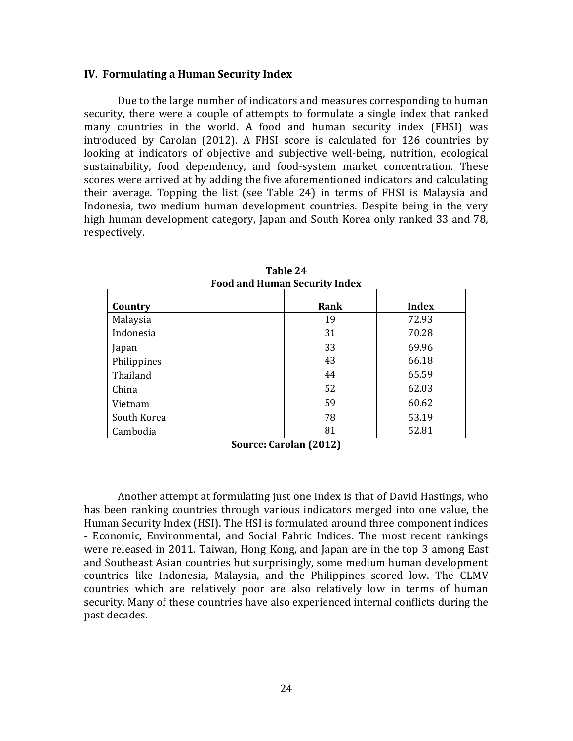#### **IV. Formulating a Human Security Index**

Due to the large number of indicators and measures corresponding to human security, there were a couple of attempts to formulate a single index that ranked many countries in the world. A food and human security index (FHSI) was introduced by Carolan (2012). A FHSI score is calculated for 126 countries by looking at indicators of objective and subjective well-being, nutrition, ecological sustainability, food dependency, and food-system market concentration. These scores were arrived at by adding the five aforementioned indicators and calculating their average. Topping the list (see Table 24) in terms of FHSI is Malaysia and Indonesia, two medium human development countries. Despite being in the very high human development category, Japan and South Korea only ranked 33 and 78, respectively.

| т оба ана пашан эссагну тиасл |      |              |  |
|-------------------------------|------|--------------|--|
| Country                       | Rank | <b>Index</b> |  |
| Malaysia                      | 19   | 72.93        |  |
| Indonesia                     | 31   | 70.28        |  |
| Japan                         | 33   | 69.96        |  |
| Philippines                   | 43   | 66.18        |  |
| Thailand                      | 44   | 65.59        |  |
| China                         | 52   | 62.03        |  |
| Vietnam                       | 59   | 60.62        |  |
| South Korea                   | 78   | 53.19        |  |
| Cambodia                      | 81   | 52.81        |  |

**Table 24 Food and Human Security Index**

**Source: Carolan (2012)**

Another attempt at formulating just one index is that of David Hastings, who has been ranking countries through various indicators merged into one value, the Human Security Index (HSI). The HSI is formulated around three component indices - Economic, Environmental, and Social Fabric Indices. The most recent rankings were released in 2011. Taiwan, Hong Kong, and Japan are in the top 3 among East and Southeast Asian countries but surprisingly, some medium human development countries like Indonesia, Malaysia, and the Philippines scored low. The CLMV countries which are relatively poor are also relatively low in terms of human security. Many of these countries have also experienced internal conflicts during the past decades.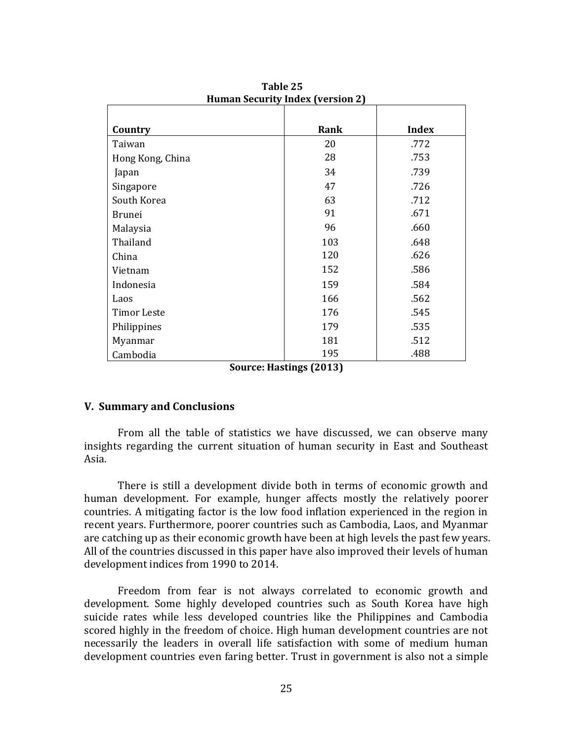| Country            | Rank | <b>Index</b> |  |  |
|--------------------|------|--------------|--|--|
| Taiwan             | 20   | .772         |  |  |
| Hong Kong, China   | 28   | .753         |  |  |
| Japan              | 34   | .739         |  |  |
| Singapore          | 47   | .726         |  |  |
| South Korea        | 63   | .712         |  |  |
| <b>Brunei</b>      | 91   | .671         |  |  |
| Malaysia           | 96   | .660         |  |  |
| Thailand           | 103  | .648         |  |  |
| China              | 120  | .626         |  |  |
| Vietnam            | 152  | .586         |  |  |
| Indonesia          | 159  | .584         |  |  |
| Laos               | 166  | .562         |  |  |
| <b>Timor Leste</b> | 176  | .545         |  |  |
| Philippines        | 179  | .535         |  |  |
| Myanmar            | 181  | .512         |  |  |
| Cambodia           | 195  | .488         |  |  |

 **Table 25 Human Security Index (version 2)**

**Source: Hastings (2013)**

#### **V. Summary and Conclusions**

From all the table of statistics we have discussed, we can observe many insights regarding the current situation of human security in East and Southeast Asia.

There is still a development divide both in terms of economic growth and human development. For example, hunger affects mostly the relatively poorer countries. A mitigating factor is the low food inflation experienced in the region in recent years. Furthermore, poorer countries such as Cambodia, Laos, and Myanmar are catching up as their economic growth have been at high levels the past few years. All of the countries discussed in this paper have also improved their levels of human development indices from 1990 to 2014.

Freedom from fear is not always correlated to economic growth and development. Some highly developed countries such as South Korea have high suicide rates while less developed countries like the Philippines and Cambodia scored highly in the freedom of choice. High human development countries are not necessarily the leaders in overall life satisfaction with some of medium human development countries even faring better. Trust in government is also not a simple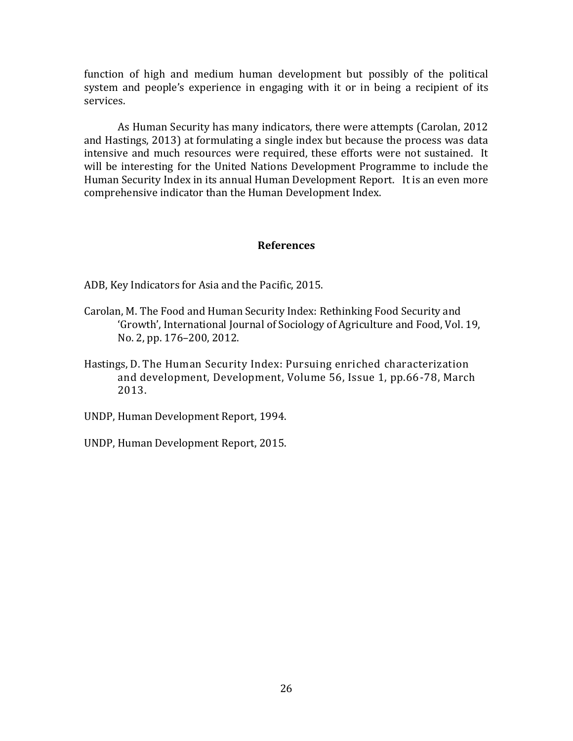function of high and medium human development but possibly of the political system and people's experience in engaging with it or in being a recipient of its services.

As Human Security has many indicators, there were attempts (Carolan, 2012 and Hastings, 2013) at formulating a single index but because the process was data intensive and much resources were required, these efforts were not sustained. It will be interesting for the United Nations Development Programme to include the Human Security Index in its annual Human Development Report. It is an even more comprehensive indicator than the Human Development Index.

#### **References**

ADB, Key Indicators for Asia and the Pacific, 2015.

- Carolan, M. The Food and Human Security Index: Rethinking Food Security and 'Growth', International Journal of Sociology of Agriculture and Food, Vol. 19, No. 2, pp. 176–200, 2012.
- Hastings, D. The Human Security Index: Pursuing enriched characterization and development, Development, Volume 56, Issue 1, pp.66-78, March 2013.
- UNDP, Human Development Report, 1994.
- UNDP, Human Development Report, 2015.